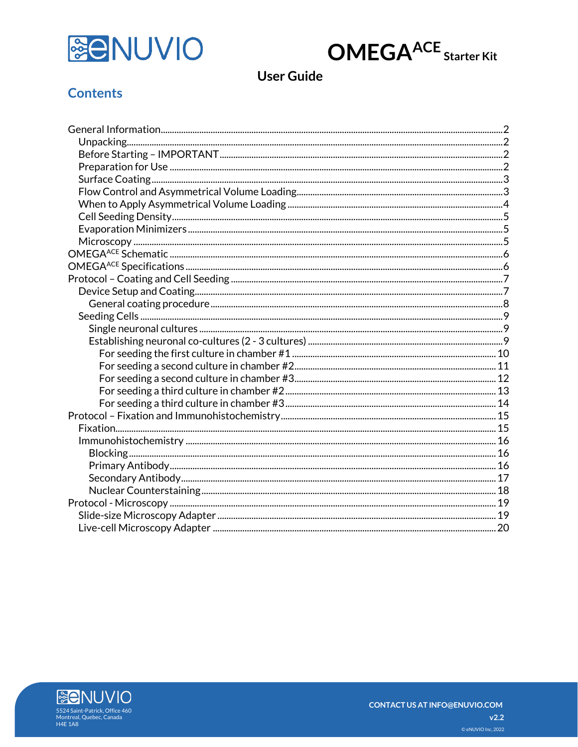



# **User Guide**

## **Contents**

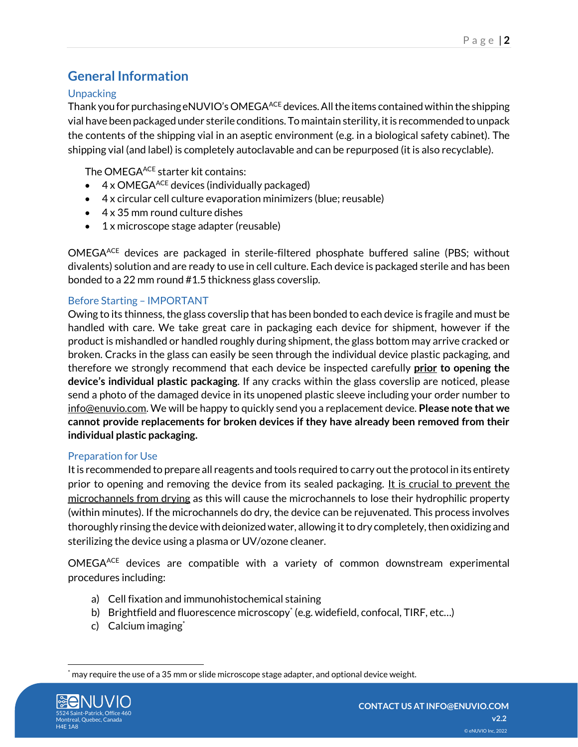# <span id="page-1-0"></span>**General Information**

## <span id="page-1-1"></span>**Unpacking**

Thank you for purchasing eNUVIO's OMEGAACE devices. All the items contained within the shipping vial have been packaged under sterile conditions. To maintain sterility, it is recommended to unpack the contents of the shipping vial in an aseptic environment (e.g. in a biological safety cabinet). The shipping vial (and label) is completely autoclavable and can be repurposed (it is also recyclable).

The OMEGA<sup>ACE</sup> starter kit contains:

- $\bullet$  4 x OMEGA<sup>ACE</sup> devices (individually packaged)
- 4 x circular cell culture evaporation minimizers (blue; reusable)
- 4 x 35 mm round culture dishes
- 1 x microscope stage adapter (reusable)

OMEGAACE devices are packaged in sterile-filtered phosphate buffered saline (PBS; without divalents) solution and are ready to use in cell culture. Each device is packaged sterile and has been bonded to a 22 mm round #1.5 thickness glass coverslip.

## <span id="page-1-2"></span>Before Starting – IMPORTANT

Owing to its thinness, the glass coverslip that has been bonded to each device is fragile and must be handled with care. We take great care in packaging each device for shipment, however if the product is mishandled or handled roughly during shipment, the glass bottom may arrive cracked or broken. Cracks in the glass can easily be seen through the individual device plastic packaging, and therefore we strongly recommend that each device be inspected carefully **prior to opening the device's individual plastic packaging**. If any cracks within the glass coverslip are noticed, please send a photo of the damaged device in its unopened plastic sleeve including your order number to info@enuvio.com. We will be happy to quickly send you a replacement device. **Please note that we cannot provide replacements for broken devices if they have already been removed from their individual plastic packaging.**

## <span id="page-1-3"></span>Preparation for Use

It is recommended to prepare all reagents and tools required to carry out the protocol in its entirety prior to opening and removing the device from its sealed packaging. It is crucial to prevent the microchannels from drying as this will cause the microchannels to lose their hydrophilic property (within minutes). If the microchannels do dry, the device can be rejuvenated. This process involves thoroughly rinsing the device with deionized water, allowing it to dry completely, then oxidizing and sterilizing the device using a plasma or UV/ozone cleaner.

OMEGAACE devices are compatible with a variety of common downstream experimental procedures including:

- a) Cell fixation and immunohistochemical staining
- b) Brightfield and fluorescence microscopy\* (e.g. widefield, confocal, TIRF, etc...)
- c) Calcium imaging<sup>\*</sup>

may require the use of a 35 mm or slide microscope stage adapter, and optional device weight.

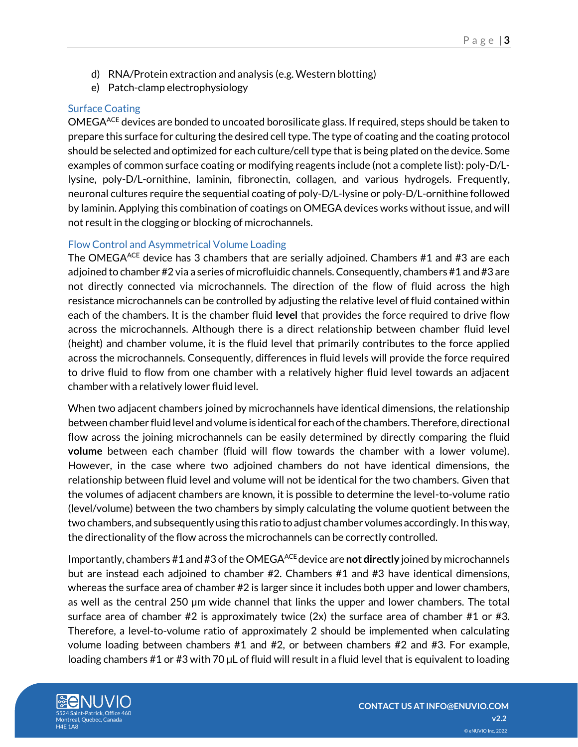- d) RNA/Protein extraction and analysis (e.g. Western blotting)
- e) Patch-clamp electrophysiology

## <span id="page-2-0"></span>Surface Coating

OMEGAACE devices are bonded to uncoated borosilicate glass. If required, steps should be taken to prepare this surface for culturing the desired cell type. The type of coating and the coating protocol should be selected and optimized for each culture/cell type that is being plated on the device. Some examples of common surface coating or modifying reagents include (not a complete list): poly-D/Llysine, poly-D/L-ornithine, laminin, fibronectin, collagen, and various hydrogels. Frequently, neuronal cultures require the sequential coating of poly-D/L-lysine or poly-D/L-ornithine followed by laminin. Applying this combination of coatings on OMEGA devices works without issue, and will not result in the clogging or blocking of microchannels.

## <span id="page-2-1"></span>Flow Control and Asymmetrical Volume Loading

The OMEGA<sup>ACE</sup> device has 3 chambers that are serially adjoined. Chambers  $#1$  and  $#3$  are each adjoined to chamber #2 via a series of microfluidic channels. Consequently, chambers #1 and #3 are not directly connected via microchannels. The direction of the flow of fluid across the high resistance microchannels can be controlled by adjusting the relative level of fluid contained within each of the chambers. It is the chamber fluid **level** that provides the force required to drive flow across the microchannels. Although there is a direct relationship between chamber fluid level (height) and chamber volume, it is the fluid level that primarily contributes to the force applied across the microchannels. Consequently, differences in fluid levels will provide the force required to drive fluid to flow from one chamber with a relatively higher fluid level towards an adjacent chamber with a relatively lower fluid level.

When two adjacent chambers joined by microchannels have identical dimensions, the relationship between chamber fluid level and volume is identical for each of the chambers.Therefore, directional flow across the joining microchannels can be easily determined by directly comparing the fluid **volume** between each chamber (fluid will flow towards the chamber with a lower volume). However, in the case where two adjoined chambers do not have identical dimensions, the relationship between fluid level and volume will not be identical for the two chambers. Given that the volumes of adjacent chambers are known, it is possible to determine the level-to-volume ratio (level/volume) between the two chambers by simply calculating the volume quotient between the two chambers, and subsequently using this ratio to adjust chamber volumes accordingly. In this way, the directionality of the flow across the microchannels can be correctly controlled.

Importantly, chambers #1 and #3 of the OMEGAACE device are **not directly** joined by microchannels but are instead each adjoined to chamber #2. Chambers #1 and #3 have identical dimensions, whereas the surface area of chamber #2 is larger since it includes both upper and lower chambers, as well as the central 250 µm wide channel that links the upper and lower chambers. The total surface area of chamber  $#2$  is approximately twice  $(2x)$  the surface area of chamber  $#1$  or  $#3$ . Therefore, a level-to-volume ratio of approximately 2 should be implemented when calculating volume loading between chambers #1 and #2, or between chambers #2 and #3. For example, loading chambers #1 or #3 with 70 µL of fluid will result in a fluid level that is equivalent to loading

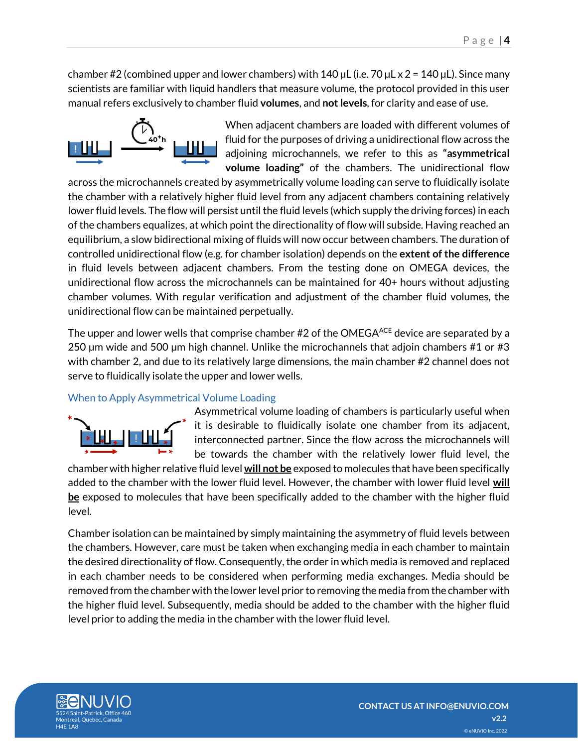chamber #2 (combined upper and lower chambers) with 140  $\mu$ L (i.e. 70  $\mu$ L x 2 = 140  $\mu$ L). Since many scientists are familiar with liquid handlers that measure volume, the protocol provided in this user manual refers exclusively to chamber fluid **volumes**, and **not levels**, for clarity and ease of use.



When adjacent chambers are loaded with different volumes of fluid for the purposes of driving a unidirectional flow across the adjoining microchannels, we refer to this as **"asymmetrical volume loading"** of the chambers. The unidirectional flow

across the microchannels created by asymmetrically volume loading can serve to fluidically isolate the chamber with a relatively higher fluid level from any adjacent chambers containing relatively lower fluid levels. The flow will persist until the fluid levels (which supply the driving forces) in each of the chambers equalizes, at which point the directionality of flow will subside. Having reached an equilibrium, a slow bidirectional mixing of fluids will now occur between chambers. The duration of controlled unidirectional flow (e.g. for chamber isolation) depends on the **extent of the difference** in fluid levels between adjacent chambers. From the testing done on OMEGA devices, the unidirectional flow across the microchannels can be maintained for 40+ hours without adjusting chamber volumes. With regular verification and adjustment of the chamber fluid volumes, the unidirectional flow can be maintained perpetually.

The upper and lower wells that comprise chamber  $#2$  of the OMEGA<sup>ACE</sup> device are separated by a 250 µm wide and 500 µm high channel. Unlike the microchannels that adjoin chambers #1 or #3 with chamber 2, and due to its relatively large dimensions, the main chamber #2 channel does not serve to fluidically isolate the upper and lower wells.

## <span id="page-3-0"></span>When to Apply Asymmetrical Volume Loading



Asymmetrical volume loading of chambers is particularly useful when it is desirable to fluidically isolate one chamber from its adjacent, interconnected partner. Since the flow across the microchannels will be towards the chamber with the relatively lower fluid level, the

chamber with higher relative fluid level **will not be** exposed to molecules that have been specifically added to the chamber with the lower fluid level. However, the chamber with lower fluid level **will be** exposed to molecules that have been specifically added to the chamber with the higher fluid level.

Chamber isolation can be maintained by simply maintaining the asymmetry of fluid levels between the chambers. However, care must be taken when exchanging media in each chamber to maintain the desired directionality of flow. Consequently, the order in which media is removed and replaced in each chamber needs to be considered when performing media exchanges. Media should be removed from the chamber with the lower level prior to removing the media from the chamber with the higher fluid level. Subsequently, media should be added to the chamber with the higher fluid level prior to adding the media in the chamber with the lower fluid level.

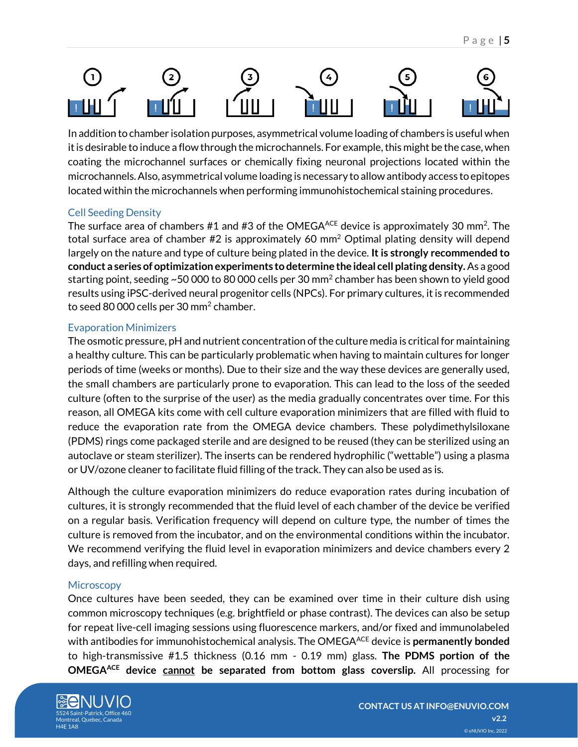

In addition to chamber isolation purposes, asymmetrical volume loading of chambers is useful when it is desirable to induce a flow through the microchannels. For example, this might be the case, when coating the microchannel surfaces or chemically fixing neuronal projections located within the microchannels. Also, asymmetrical volume loading is necessary to allow antibody access to epitopes located within the microchannels when performing immunohistochemical staining procedures.

## <span id="page-4-0"></span>Cell Seeding Density

The surface area of chambers #1 and #3 of the OMEGA $^{ACE}$  device is approximately 30 mm<sup>2</sup>. The total surface area of chamber #2 is approximately 60 mm<sup>2</sup> Optimal plating density will depend largely on the nature and type of culture being plated in the device. **It is strongly recommended to conduct a series of optimization experiments to determine the ideal cell plating density.** As a good starting point, seeding ~50 000 to 80 000 cells per 30 mm $^2$  chamber has been shown to yield good results using iPSC-derived neural progenitor cells (NPCs). For primary cultures, it is recommended to seed 80 000 cells per 30 mm<sup>2</sup> chamber.

## <span id="page-4-1"></span>Evaporation Minimizers

The osmotic pressure, pH and nutrient concentration of the culture media is critical for maintaining a healthy culture. This can be particularly problematic when having to maintain cultures for longer periods of time (weeks or months). Due to their size and the way these devices are generally used, the small chambers are particularly prone to evaporation. This can lead to the loss of the seeded culture (often to the surprise of the user) as the media gradually concentrates over time. For this reason, all OMEGA kits come with cell culture evaporation minimizers that are filled with fluid to reduce the evaporation rate from the OMEGA device chambers. These polydimethylsiloxane (PDMS) rings come packaged sterile and are designed to be reused (they can be sterilized using an autoclave or steam sterilizer). The inserts can be rendered hydrophilic ("wettable") using a plasma or UV/ozone cleaner to facilitate fluid filling of the track. They can also be used as is.

Although the culture evaporation minimizers do reduce evaporation rates during incubation of cultures, it is strongly recommended that the fluid level of each chamber of the device be verified on a regular basis. Verification frequency will depend on culture type, the number of times the culture is removed from the incubator, and on the environmental conditions within the incubator. We recommend verifying the fluid level in evaporation minimizers and device chambers every 2 days, and refilling when required.

## <span id="page-4-2"></span>**Microscopy**

Once cultures have been seeded, they can be examined over time in their culture dish using common microscopy techniques (e.g. brightfield or phase contrast). The devices can also be setup for repeat live-cell imaging sessions using fluorescence markers, and/or fixed and immunolabeled with antibodies for immunohistochemical analysis. The OMEGA<sup>ACE</sup> device is **permanently bonded** to high-transmissive #1.5 thickness (0.16 mm - 0.19 mm) glass. **The PDMS portion of the OMEGAACE device cannot be separated from bottom glass coverslip.** All processing for

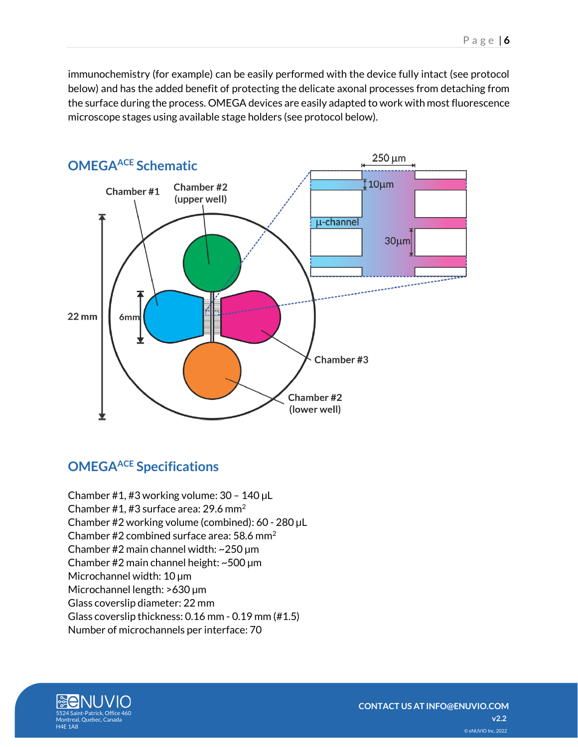immunochemistry (for example) can be easily performed with the device fully intact (see protocol below) and has the added benefit of protecting the delicate axonal processes from detaching from the surface during the process. OMEGA devices are easily adapted to work with most fluorescence microscope stages using available stage holders (see protocol below).

<span id="page-5-0"></span>

# <span id="page-5-1"></span>**OMEGAACE Specifications**

Chamber #1, #3 working volume: 30 – 140 µL Chamber #1, #3 surface area: 29.6 mm<sup>2</sup> Chamber #2 working volume (combined): 60 - 280 µL Chamber #2 combined surface area:  $58.6 \text{ mm}^2$ Chamber #2 main channel width: ~250 µm Chamber #2 main channel height: ~500 µm Microchannel width: 10 µm Microchannel length: >630 µm Glass coverslip diameter: 22 mm Glass coverslip thickness: 0.16 mm - 0.19 mm (#1.5) Number of microchannels per interface: 70

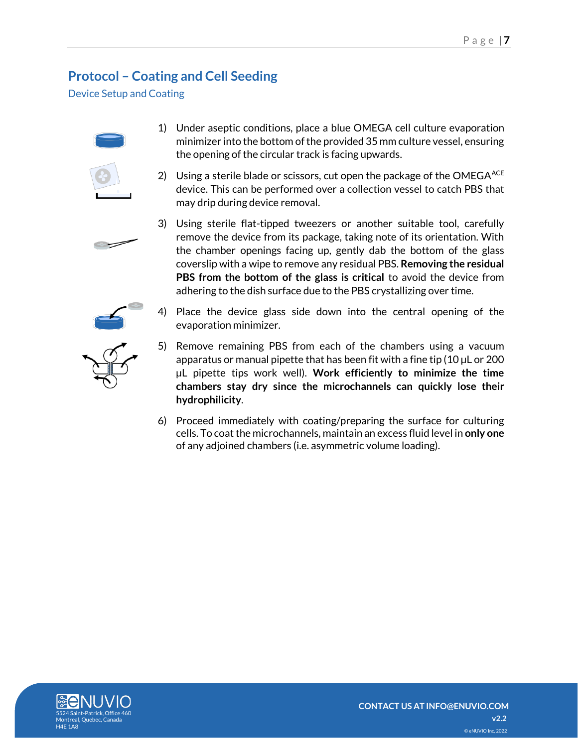# <span id="page-6-0"></span>**Protocol – Coating and Cell Seeding**

<span id="page-6-1"></span>Device Setup and Coating



- 1) Under aseptic conditions, place a blue OMEGA cell culture evaporation minimizer into the bottom of the provided 35 mm culture vessel, ensuring the opening of the circular track is facing upwards.
- 2) Using a sterile blade or scissors, cut open the package of the OMEGA $^{ACE}$ device. This can be performed over a collection vessel to catch PBS that may drip during device removal.





- 
- 4) Place the device glass side down into the central opening of the evaporation minimizer.
- 5) Remove remaining PBS from each of the chambers using a vacuum apparatus or manual pipette that has been fit with a fine tip (10 µL or 200 µL pipette tips work well). **Work efficiently to minimize the time chambers stay dry since the microchannels can quickly lose their hydrophilicity**.
- 6) Proceed immediately with coating/preparing the surface for culturing cells. To coat the microchannels, maintain an excess fluid level in **only one** of any adjoined chambers (i.e. asymmetric volume loading).

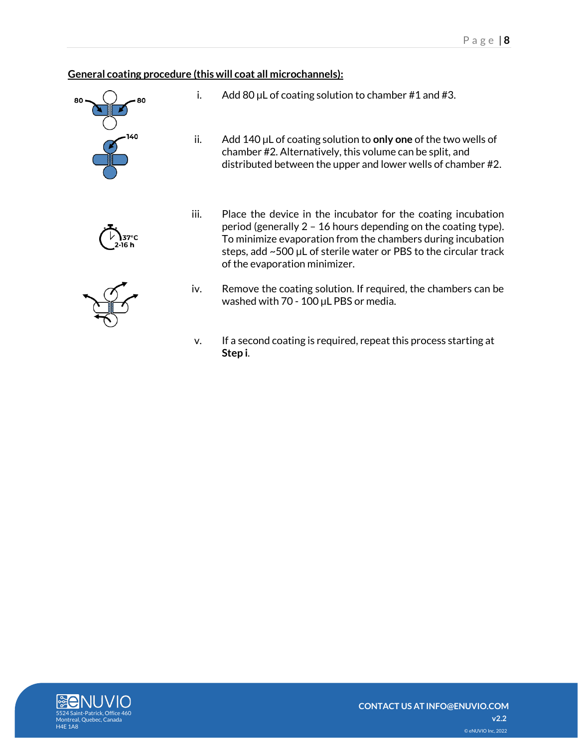## <span id="page-7-0"></span>**General coating procedure (this will coat all microchannels):**







- i. Add 80  $\mu$ L of coating solution to chamber #1 and #3.
- ii. Add 140 µL of coating solution to **only one** of the two wells of chamber #2. Alternatively, this volume can be split, and distributed between the upper and lower wells of chamber #2.
- iii. Place the device in the incubator for the coating incubation period (generally 2 – 16 hours depending on the coating type). To minimize evaporation from the chambers during incubation steps, add ~500 µL of sterile water or PBS to the circular track of the evaporation minimizer.
- iv. Remove the coating solution. If required, the chambers can be washed with 70 - 100 µL PBS or media.
- v. If a second coating is required, repeat this process starting at **Step i**.

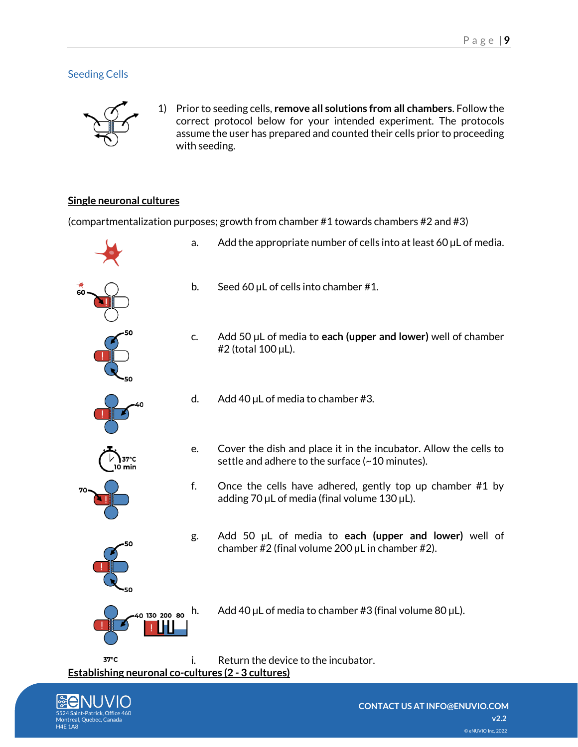## <span id="page-8-0"></span>Seeding Cells



1) Prior to seeding cells, **remove all solutions from all chambers**. Follow the correct protocol below for your intended experiment. The protocols assume the user has prepared and counted their cells prior to proceeding with seeding.

## <span id="page-8-1"></span>**Single neuronal cultures**

(compartmentalization purposes; growth from chamber #1 towards chambers #2 and #3)



<span id="page-8-2"></span>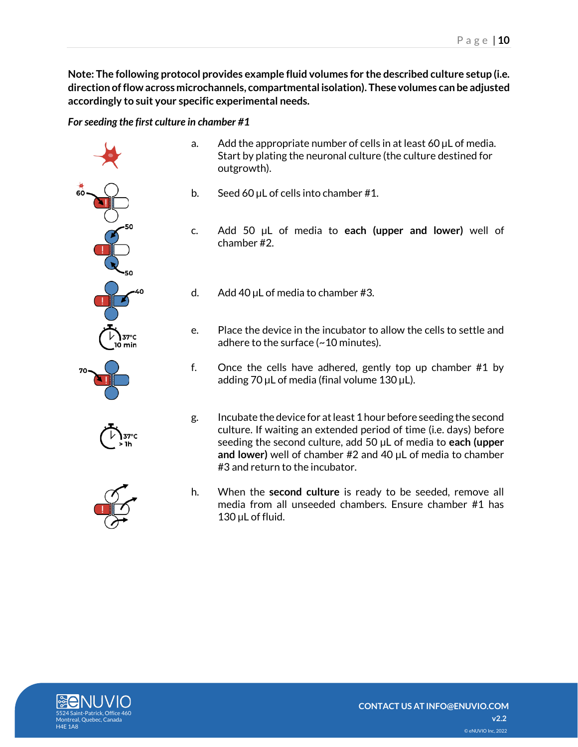P a g e | **10**

**Note: The following protocol provides example fluid volumes for the described culture setup (i.e. direction of flow across microchannels, compartmental isolation). These volumes can be adjusted accordingly to suit your specific experimental needs.**

<span id="page-9-0"></span>*For seeding the first culture in chamber #1*

- 37°C l0 min
	-
- a. Add the appropriate number of cells in at least 60  $\mu$ L of media. Start by plating the neuronal culture (the culture destined for outgrowth).
- b. Seed 60 µL of cells into chamber #1.
- c. Add 50 µL of media to **each (upper and lower)** well of chamber #2.
- d. Add 40  $\mu$ L of media to chamber #3.
- e. Place the device in the incubator to allow the cells to settle and adhere to the surface (~10 minutes).
- f. Once the cells have adhered, gently top up chamber #1 by adding 70 µL of media (final volume 130 µL).
- g. Incubate the device for at least 1 hour before seeding the second culture. If waiting an extended period of time (i.e. days) before seeding the second culture, add 50 µL of media to **each (upper and lower)** well of chamber #2 and 40 µL of media to chamber #3 and return to the incubator.
- h. When the **second culture** is ready to be seeded, remove all media from all unseeded chambers. Ensure chamber #1 has 130 µL of fluid.

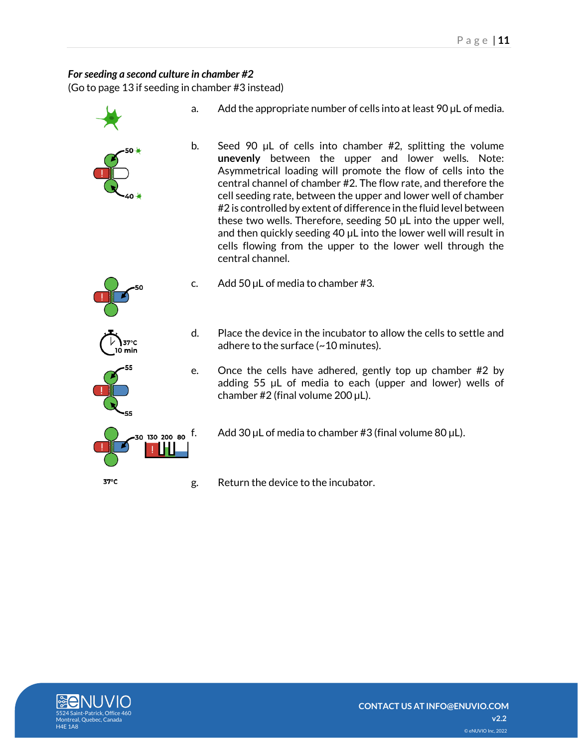## <span id="page-10-0"></span>For seeding a second culture in chamber #2

(Go to page 13 if seeding in chamber #3 instead)

a. Add the appropriate number of cells into at least 90  $\mu$ L of media. b. Seed 90 µL of cells into chamber #2, splitting the volume **unevenly** between the upper and lower wells. Note: Asymmetrical loading will promote the flow of cells into the central channel of chamber #2. The flow rate, and therefore the cell seeding rate, between the upper and lower well of chamber #2 is controlled by extent of difference in the fluid level between these two wells. Therefore, seeding 50 µL into the upper well, and then quickly seeding 40 µL into the lower well will result in cells flowing from the upper to the lower well through the central channel. c. Add 50  $\mu$ L of media to chamber #3. d. Place the device in the incubator to allow the cells to settle and adhere to the surface (~10 minutes). e. Once the cells have adhered, gently top up chamber #2 by adding 55 µL of media to each (upper and lower) wells of chamber  $#2$  (final volume  $200 \mu L$ ).  $_{\rm 30}$   $_{\rm 130}$   $_{\rm 200}$   $_{\rm 80}$   $\rm f.$  Add 30  $\rm \mu L$  of media to chamber #3 (final volume 80  $\rm \mu L).$ 37°C g. Return the device to the incubator.

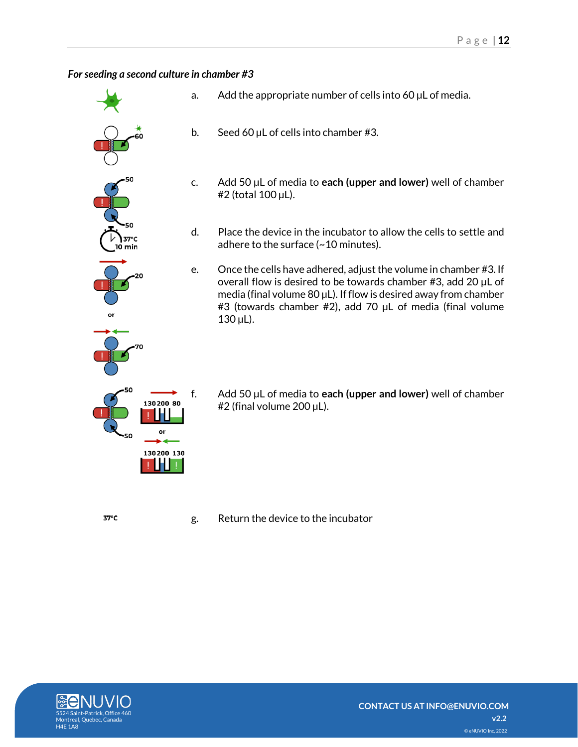## <span id="page-11-0"></span>*For seeding a second culture in chamber #3*

- 37°C 10 min 130200 80 or 130200 130
	- a. Add the appropriate number of cells into  $60 \mu$ L of media.
	- b. Seed 60  $\mu$ L of cells into chamber #3.
	- c. Add 50 µL of media to **each (upper and lower)** well of chamber #2 (total 100 µL).
	- d. Place the device in the incubator to allow the cells to settle and adhere to the surface (~10 minutes).
	- e. Once the cells have adhered, adjust the volume in chamber #3. If overall flow is desired to be towards chamber #3, add 20 µL of media (final volume 80  $\mu$ L). If flow is desired away from chamber #3 (towards chamber #2), add 70 µL of media (final volume  $130 \,\mu L$ ).
	- f. Add 50 µL of media to **each (upper and lower)** well of chamber #2 (final volume 200 µL).

g. Return the device to the incubator



37°C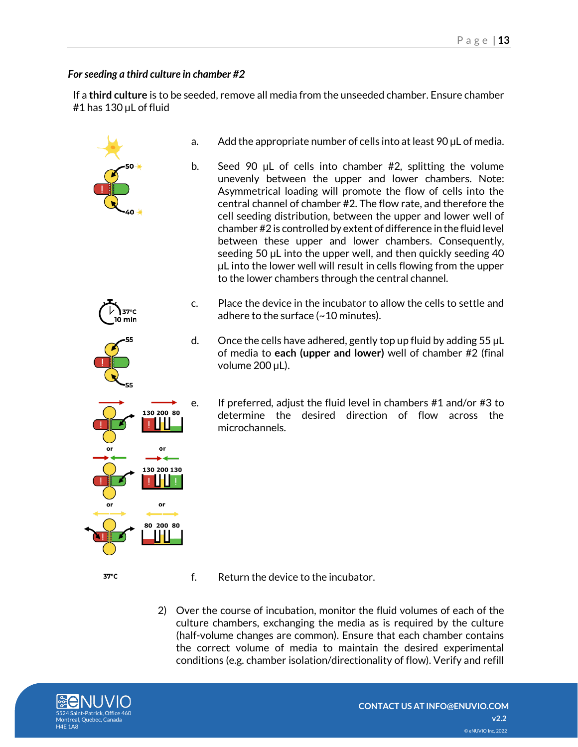## <span id="page-12-0"></span>*For seeding a third culture in chamber #2*

If a **third culture** is to be seeded, remove all media from the unseeded chamber. Ensure chamber #1 has 130 µL of fluid



- 37°C
- f. Return the device to the incubator.
- 2) Over the course of incubation, monitor the fluid volumes of each of the culture chambers, exchanging the media as is required by the culture (half-volume changes are common). Ensure that each chamber contains the correct volume of media to maintain the desired experimental conditions (e.g. chamber isolation/directionality of flow). Verify and refill

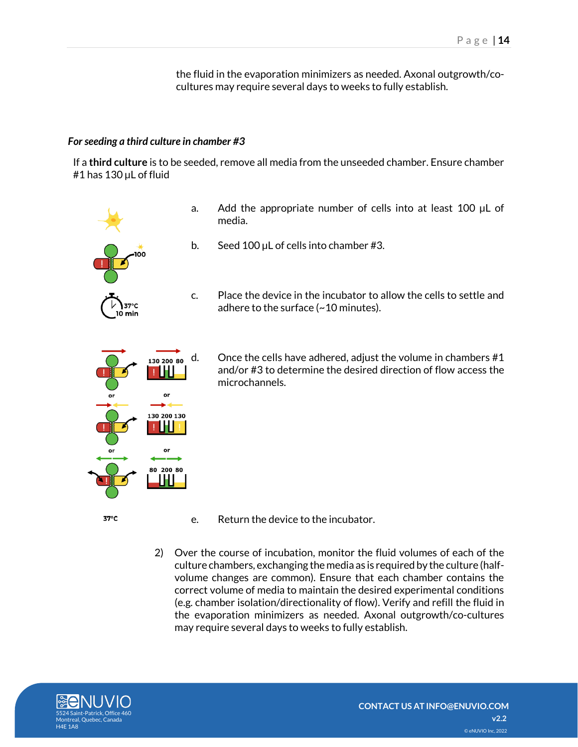the fluid in the evaporation minimizers as needed. Axonal outgrowth/cocultures may require several days to weeks to fully establish.

#### <span id="page-13-0"></span>*For seeding a third culture in chamber #3*

If a **third culture** is to be seeded, remove all media from the unseeded chamber. Ensure chamber #1 has 130 µL of fluid

adhere to the surface (~10 minutes).

media.



 $_{130,200,80}$  d. Once the cells have adhered, adjust the volume in chambers #1 and/or #3 to determine the desired direction of flow access the microchannels.

- e. Return the device to the incubator.
- 2) Over the course of incubation, monitor the fluid volumes of each of the culture chambers, exchanging the media as is required by the culture (halfvolume changes are common). Ensure that each chamber contains the correct volume of media to maintain the desired experimental conditions (e.g. chamber isolation/directionality of flow). Verify and refill the fluid in the evaporation minimizers as needed. Axonal outgrowth/co-cultures may require several days to weeks to fully establish.

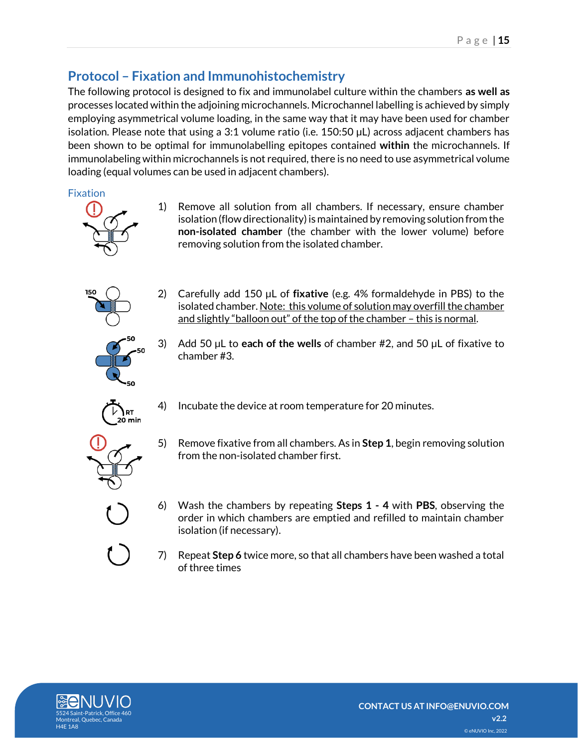# <span id="page-14-0"></span>**Protocol – Fixation and Immunohistochemistry**

The following protocol is designed to fix and immunolabel culture within the chambers **as well as** processes located within the adjoining microchannels. Microchannel labelling is achieved by simply employing asymmetrical volume loading, in the same way that it may have been used for chamber isolation. Please note that using a 3:1 volume ratio (i.e. 150:50 µL) across adjacent chambers has been shown to be optimal for immunolabelling epitopes contained **within** the microchannels. If immunolabeling within microchannels is not required, there is no need to use asymmetrical volume loading (equal volumes can be used in adjacent chambers).

<span id="page-14-1"></span>Fixation



1) Remove all solution from all chambers. If necessary, ensure chamber isolation (flow directionality) is maintained by removing solution from the **non-isolated chamber** (the chamber with the lower volume) before removing solution from the isolated chamber.



2) Carefully add 150 µL of **fixative** (e.g. 4% formaldehyde in PBS) to the isolated chamber. Note: this volume of solution may overfill the chamber and slightly "balloon out" of the top of the chamber - this is normal.



3) Add 50 µL to **each of the wells** of chamber #2, and 50 µL of fixative to chamber #3.



4) Incubate the device at room temperature for 20 minutes.



- 5) Remove fixative from all chambers. As in **Step 1**, begin removing solution from the non-isolated chamber first.
- 6) Wash the chambers by repeating **Steps 1 - 4** with **PBS**, observing the order in which chambers are emptied and refilled to maintain chamber isolation (if necessary).
- 7) Repeat **Step 6** twice more, so that all chambers have been washed a total of three times

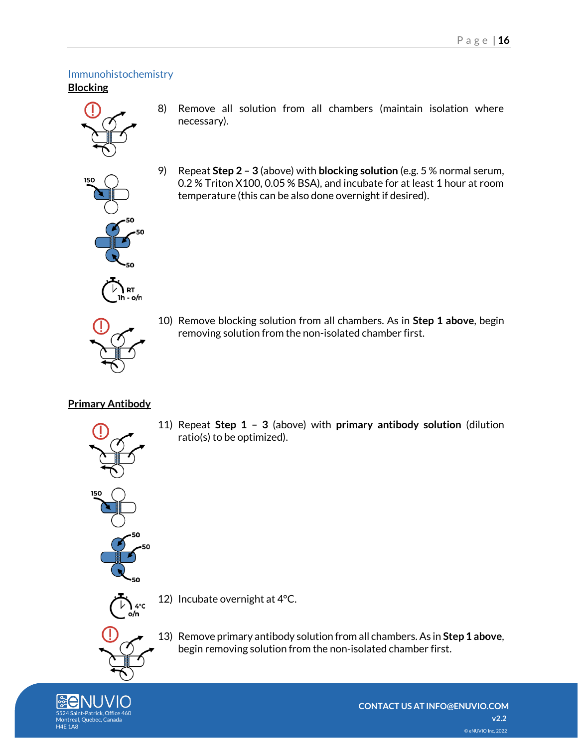#### <span id="page-15-1"></span><span id="page-15-0"></span>Immunohistochemistry **Blocking**



- 8) Remove all solution from all chambers (maintain isolation where necessary).
- 9) Repeat **Step 2 – 3** (above) with **blocking solution** (e.g. 5 % normal serum, 0.2 % Triton X100, 0.05 % BSA), and incubate for at least 1 hour at room temperature (this can be also done overnight if desired).



RT. 1h - o/n

> 10) Remove blocking solution from all chambers. As in **Step 1 above**, begin removing solution from the non-isolated chamber first.

## <span id="page-15-2"></span>**Primary Antibody**



11) Repeat **Step 1 – 3** (above) with **primary antibody solution** (dilution ratio(s) to be optimized).

12) Incubate overnight at 4°C.



13) Remove primary antibody solution from all chambers. As in **Step 1 above**, begin removing solution from the non-isolated chamber first.

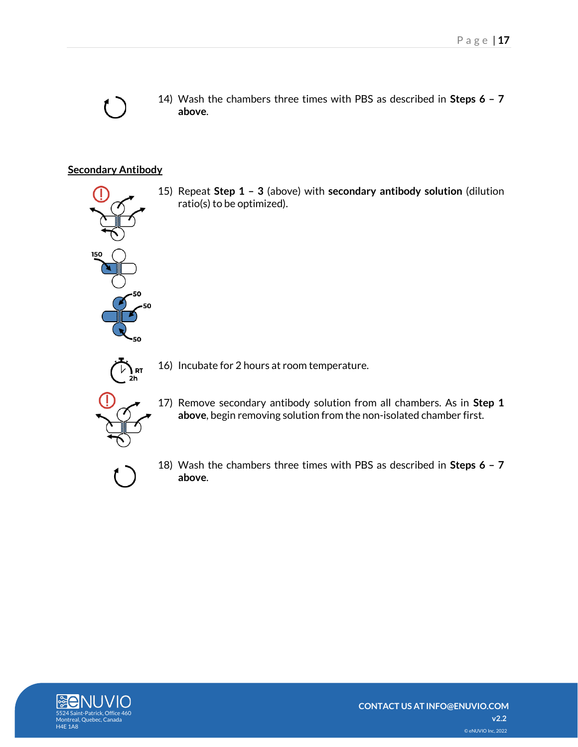14) Wash the chambers three times with PBS as described in **Steps 6 – 7 above**.

15) Repeat **Step 1 – 3** (above) with **secondary antibody solution** (dilution

## <span id="page-16-0"></span>**Secondary Antibody**

 $\overline{\mathsf{R}}$ 

16) Incubate for 2 hours at room temperature.

ratio(s) to be optimized).



17) Remove secondary antibody solution from all chambers. As in **Step 1 above**, begin removing solution from the non-isolated chamber first.



18) Wash the chambers three times with PBS as described in **Steps 6 – 7 above**.

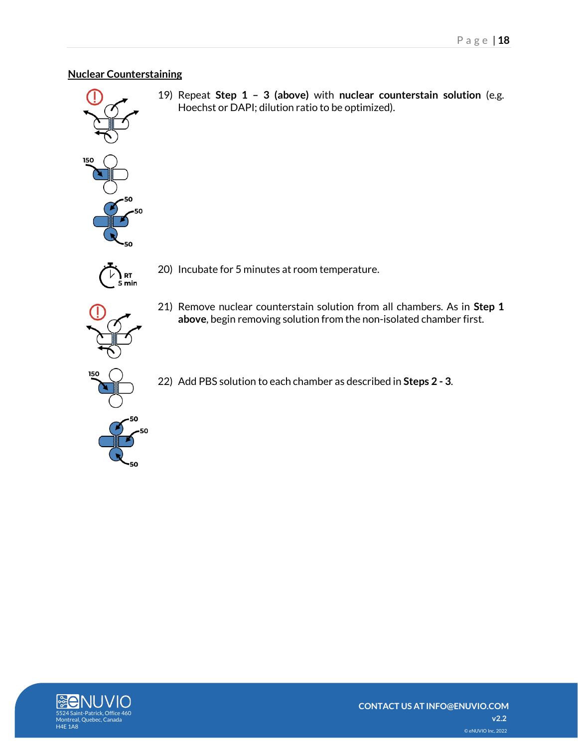## <span id="page-17-0"></span>**Nuclear Counterstaining**



19) Repeat **Step 1 – 3 (above)** with **nuclear counterstain solution** (e.g. Hoechst or DAPI; dilution ratio to be optimized).



20) Incubate for 5 minutes at room temperature.



21) Remove nuclear counterstain solution from all chambers. As in **Step 1 above**, begin removing solution from the non-isolated chamber first.

22) Add PBS solution to each chamber as described in **Steps 2 - 3**.

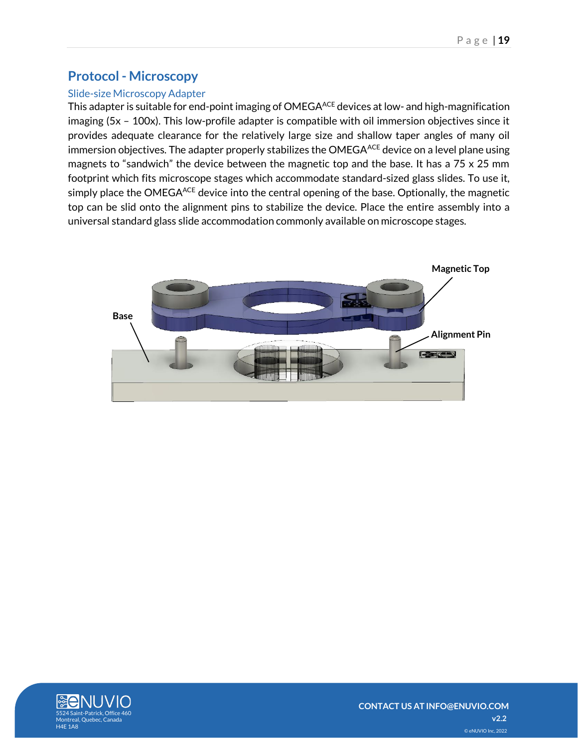## <span id="page-18-0"></span>**Protocol - Microscopy**

## <span id="page-18-1"></span>Slide-size Microscopy Adapter

This adapter is suitable for end-point imaging of OMEGA<sup>ACE</sup> devices at low- and high-magnification imaging (5x – 100x). This low-profile adapter is compatible with oil immersion objectives since it provides adequate clearance for the relatively large size and shallow taper angles of many oil immersion objectives. The adapter properly stabilizes the OMEGA<sup>ACE</sup> device on a level plane using magnets to "sandwich" the device between the magnetic top and the base. It has a 75 x 25 mm footprint which fits microscope stages which accommodate standard-sized glass slides. To use it, simply place the OMEGA<sup>ACE</sup> device into the central opening of the base. Optionally, the magnetic top can be slid onto the alignment pins to stabilize the device. Place the entire assembly into a universal standard glass slide accommodation commonly available on microscope stages.